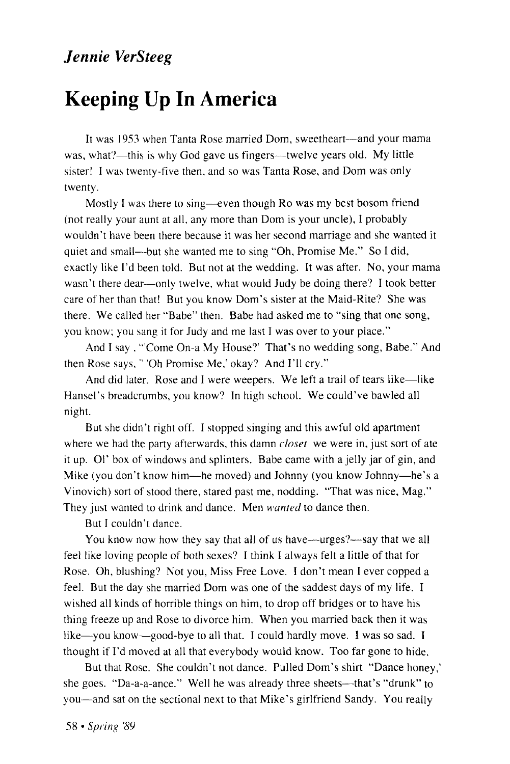#### *Jennie VerSteeg*

# **Keeping Up In America**

It was 1953 when Tanta Rose married Dom, sweetheart—and your mama was, what?—this is why God gave us fingers—twelve years old. My little sister! I was twenty-five then, and so was Tanta Rose, and Dom was only twenty.

Mostly I was there to sing—even though Ro was my best bosom friend (not really your aunt at all, any more than Dom is your uncle), I probably wouldn't have been there because it was her second marriage and she wanted it quiet and small—but she wanted me to sing "Oh, Promise Me." So I did, exactly like I'd been told. But not at the wedding. It was after. No, your mama wasn't there dear—only twelve, what would Judy be doing there? I took better care of her than that! But you know Dom's sister at the Maid-Rite? She was there. We called her "Babe" then. Babe had asked me to "sing that one song, you know; you sang it for Judy and me last I was over to your place."

And I say , '"Come On-a My House?' That's no wedding song, Babe." And then Rose says," 'Oh Promise Me,' okay? And I'll cry."

And did later. Rose and I were weepers. We left a trail of tears like—like Hansel's breadcrumbs, you know? In high school. We could've bawled all night.

But she didn't right off. I stopped singing and this awful old apartment where we had the party afterwards, this damn *closet* we were in, just sort of ate it up. 01' box of windows and splinters. Babe came with a jelly jar of gin, and Mike (you don't know him—he moved) and Johnny (you know Johnny—he's a Vinovich) sort of stood there, stared past me, nodding. "That was nice, Mag." They just wanted to drink and dance. Men *wanted* to dance then.

But I couldn't dance.

You know now how they say that all of us have—urges?—say that we all feel like loving people of both sexes? I think I always felt a little of that for Rose. Oh, blushing? Not you, Miss Free Love. I don't mean I ever copped a feel. But the day she married Dom was one of the saddest days of my life. I wished all kinds of horrible things on him, to drop off bridges or to have his thing freeze up and Rose to divorce him. When you married back then it was like—you know—good-bye to all that. I could hardly move. I was so sad. I thought if I'd moved at all that everybody would know. Too far gone to hide.

But that Rose. She couldn't not dance. Pulled Dom's shirt "Dance honey,' she goes. "Da-a-a-ance." Well he was already three sheets—that's "drunk" to you—and sat on the sectional next to that Mike's girlfriend Sandy. You really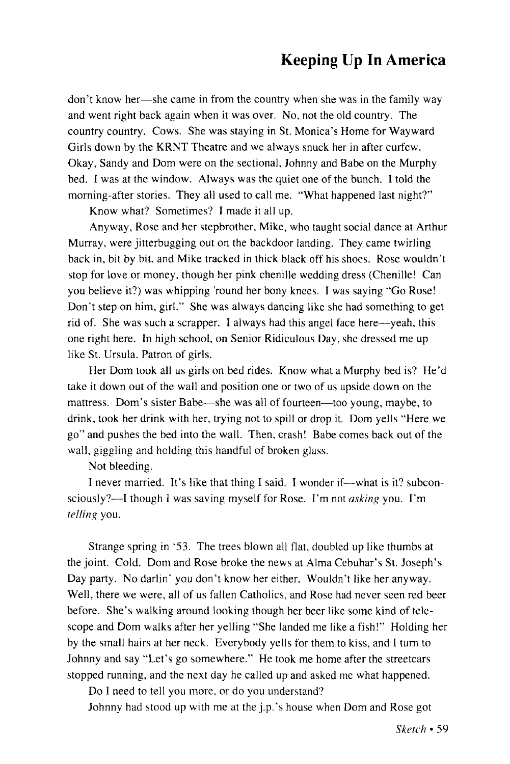## Keeping Up In America

don't know her—she came in from the country when she was in the family way and went right back again when it was over. No, not the old country. The country country. Cows. She was staying in St. Monica's Home for Wayward Girls down by the KRNT Theatre and we always snuck her in after curfew. Okay, Sandy and Dom were on the sectional, Johnny and Babe on the Murphy bed. I was at the window. Always was the quiet one of the bunch. I told the morning-after stories. They all used to call me. "What happened last night?"

Know what? Sometimes? I made it all up.

Anyway, Rose and her stepbrother, Mike, who taught social dance at Arthur Murray, were jitterbugging out on the backdoor landing. They came twirling back in, bit by bit, and Mike tracked in thick black off his shoes. Rose wouldn't stop for love or money, though her pink chenille wedding dress (Chenille! Can you believe it?) was whipping 'round her bony knees. I was saying "Go Rose! Don't step on him, girl." She was always dancing like she had something to get rid of. She was such a scrapper. I always had this angel face here—yeah, this one right here. In high school, on Senior Ridiculous Day, she dressed me up like St. Ursula. Patron of girls.

Her Dom took all us girls on bed rides. Know what a Murphy bed is? He'd take it down out of the wall and position one or two of us upside down on the mattress. Dom's sister Babe—she was all of fourteen—too young, maybe, to drink, took her drink with her, trying not to spill or drop it. Dom yells "Here we go" and pushes the bed into the wall. Then, crash! Babe comes back out of the wall, giggling and holding this handful of broken glass.

Not bleeding.

I never married. It's like that thing I said. I wonder if—what is it? subconsciously?—I though I was saving myself for Rose. I'm not *asking* you. I'm *telling* you.

Strange spring in '53. The trees blown all flat, doubled up like thumbs at the joint. Cold. Dom and Rose broke the news at Alma Cebuhar's St. Joseph's Day party. No darlin' you don't know her either. Wouldn't like her anyway. Well, there we were, all of us fallen Catholics, and Rose had never seen red beer before. She's walking around looking though her beer like some kind of telescope and Dom walks after her yelling "She landed me like a fish!" Holding her by the small hairs at her neck. Everybody yells for them to kiss, and I turn to Johnny and say "Let's go somewhere." He took me home after the streetcars stopped running, and the next day he called up and asked me what happened.

Do I need to tell you more, or do you understand?

Johnny had stood up with me at the j.p.'s house when Dom and Rose got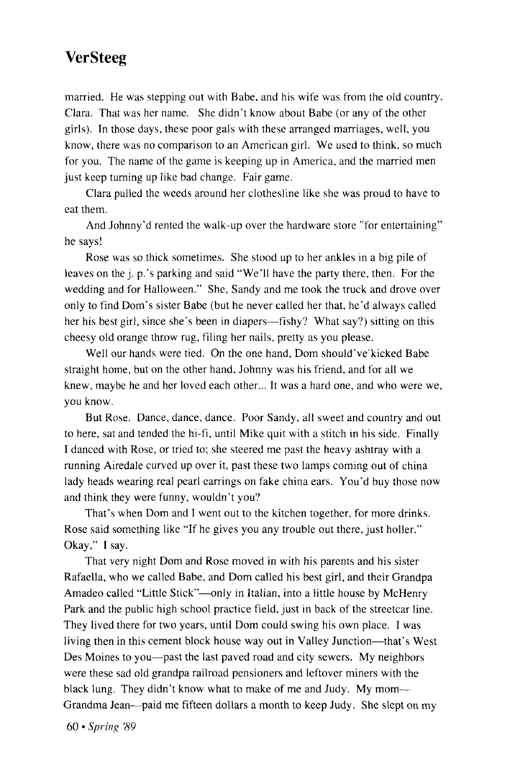## VerSteeg

married. He was stepping out with Babe, and his wife was from the old country. Clara. That was her name. She didn't know about Babe (or any of the other girls). In those days, these poor gals with these arranged marriages, well, you know, there was no comparison to an American girl. We used to think, so much for you. The name of the game is keeping up in America, and the married men just keep turning up like bad change. Fair game.

Clara pulled the weeds around her clothesline like she was proud to have to eat them.

And Johnny'd rented the walk-up over the hardware store "for entertaining" he says!

Rose was so thick sometimes. She stood up to her ankles in a big pile of leaves on the j. p.'s parking and said "We'll have the party there, then. For the wedding and for Halloween." She, Sandy and me took the truck and drove over only to find Dom's sister Babe (but he never called her that, he'd always called her his best girl, since she's been in diapers—fishy? What say?) sitting on this cheesy old orange throw rug, filing her nails, pretty as you please.

Well our hands were tied. On the one hand, Dom should've'kicked Babe straight home, but on the other hand, Johnny was his friend, and for all we knew, maybe he and her loved each other... It was a hard one, and who were we, you know.

But Rose. Dance, dance, dance. Poor Sandy, all sweet and country and out to here, sat and tended the hi-fi, until Mike quit with a stitch in his side. Finally I danced with Rose, or tried to; she steered me past the heavy ashtray with a running Airedale curved up over it, past these two lamps coming out of china lady heads wearing real pearl earrings on fake china ears. You'd buy those now and think they were funny, wouldn't you?

That's when Dom and I went out to the kitchen together, for more drinks. Rose said something like "If he gives you any trouble out there, just holler." Okay," I say.

That very night Dom and Rose moved in with his parents and his sister Rafaella, who we called Babe, and Dom called his best girl, and their Grandpa Amadeo called "Little Stick"—only in Italian, into a little house by McHenry Park and the public high school practice field, just in back of the streetcar line. They lived there for two years, until Dom could swing his own place. I was living then in this cement block house way out in Valley Junction—that's West Des Moines to you—past the last paved road and city sewers. My neighbors were these sad old grandpa railroad pensioners and leftover miners with the black lung. They didn't know what to make of me and Judy. My mom— Grandma Jean—paid me fifteen dollars a month to keep Judy. She slept on my

60 • *Spring '89*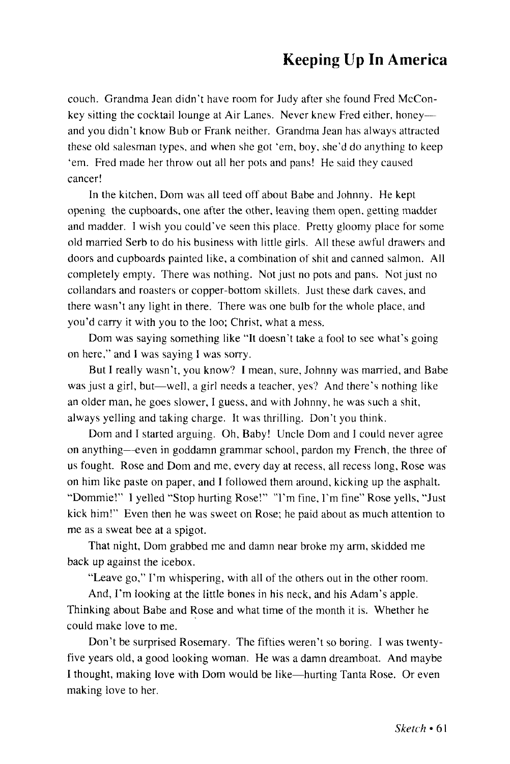## Keeping Up In America

couch. Grandma Jean didn't have room for Judy after she found Fred McConkey sitting the cocktail lounge at Air Lanes. Never knew Fred either, honey and you didn't know Bub or Frank neither. Grandma Jean has always attracted these old salesman types, and when she got 'em, boy, she'd do anything to keep 'em. Fred made her throw out all her pots and pans! He said they caused cancer!

In the kitchen, Dom was all teed off about Babe and Johnny. He kept opening the cupboards, one after the other, leaving them open, getting madder and madder. I wish you could've seen this place. Pretty gloomy place for some old married Serb to do his business with little girls. All these awful drawers and doors and cupboards painted like, a combination of shit and canned salmon. All completely empty. There was nothing. Not just no pots and pans. Not just no collandars and roasters or copper-bottom skillets. Just these dark caves, and there wasn't any light in there. There was one bulb for the whole place, and you'd carry it with you to the loo; Christ, what a mess.

Dom was saying something like "It doesn't take a fool to see what's going on here," and I was saying I was sorry.

But I really wasn't, you know? I mean, sure, Johnny was married, and Babe was just a girl, but—well, a girl needs a teacher, yes? And there's nothing like an older man, he goes slower, I guess, and with Johnny, he was such a shit, always yelling and taking charge. It was thrilling. Don't you think.

Dom and I started arguing. Oh, Baby! Uncle Dom and I could never agree on anything—even in goddamn grammar school, pardon my French, the three of us fought. Rose and Dom and me, every day at recess, all recess long, Rose was on him like paste on paper, and I followed them around, kicking up the asphalt. "Dommie!" I yelled "Stop hurting Rose!" "I'm fine, I'm fine" Rose yells, "Just kick him!" Even then he was sweet on Rose; he paid about as much attention to me as a sweat bee at a spigot.

That night, Dom grabbed me and damn near broke my arm, skidded me back up against the icebox.

"Leave go," I'm whispering, with all of the others out in the other room.

And, I'm looking at the little bones in his neck, and his Adam's apple. Thinking about Babe and Rose and what time of the month it is. Whether he could make love to me.

Don't be surprised Rosemary. The fifties weren't so boring. I was twentyfive years old, a good looking woman. He was a damn dreamboat. And maybe I thought, making love with Dom would be like—hurting Tanta Rose. Or even making love to her.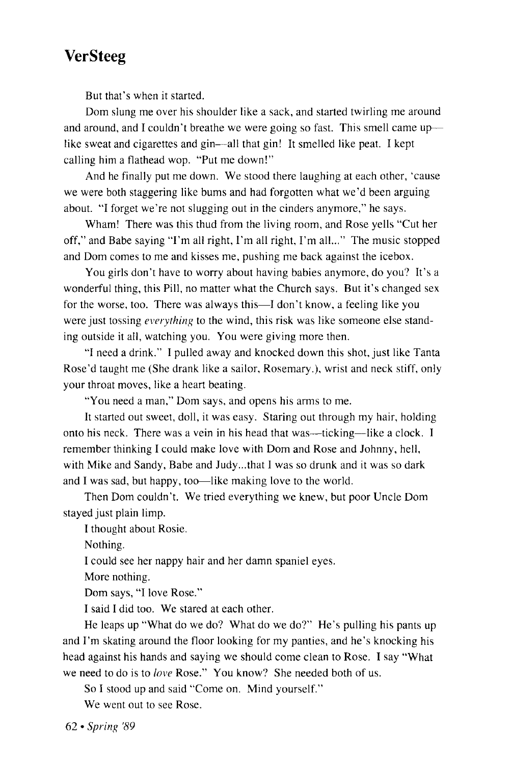#### **VerSteeg**

But that's when it started.

Dom slung me over his shoulder like a sack, and started twirling me around and around, and I couldn't breathe we were going so fast. This smell came up like sweat and cigarettes and gin—all that gin! It smelled like peat. I kept calling him a flathead wop. "Put me down!"

And he finally put me down. We stood there laughing at each other, 'cause we were both staggering like bums and had forgotten what we'd been arguing about. "I forget we're not slugging out in the cinders anymore," he says.

Wham! There was this thud from the living room, and Rose yells "Cut her off," and Babe saying "I'm all right, I'm all right, I'm all..." The music stopped and Dom comes to me and kisses me, pushing me back against the icebox.

You girls don't have to worry about having babies anymore, do you? It's a wonderful thing, this Pill, no matter what the Church says. But it's changed sex for the worse, too. There was always this—I don't know, a feeling like you were just tossing *everything* to the wind, this risk was like someone else standing outside it all, watching you. You were giving more then.

"I need a drink." I pulled away and knocked down this shot, just like Tanta Rose'd taught me (She drank like a sailor, Rosemary.), wrist and neck stiff, only your throat moves, like a heart beating.

"You need a man," Dom says, and opens his arms to me.

It started out sweet, doll, it was easy. Staring out through my hair, holding onto his neck. There was a vein in his head that was—ticking—like a clock. I remember thinking I could make love with Dom and Rose and Johnny, hell, with Mike and Sandy, Babe and Judy...that I was so drunk and it was so dark and I was sad, but happy, too—like making love to the world.

Then Dom couldn't. We tried everything we knew, but poor Uncle Dom stayed just plain limp.

I thought about Rosie.

Nothing.

I could see her nappy hair and her damn spaniel eyes.

More nothing.

Dom says, "I love Rose."

I said I did too. We stared at each other.

He leaps up "What do we do? What do we do?" He's pulling his pants up and I'm skating around the floor looking for my panties, and he's knocking his head against his hands and saying we should come clean to Rose. I say "What we need to do is to *love* Rose." You know? She needed both of us.

So I stood up and said "Come on. Mind yourself."

We went out to see Rose.

62 • *Spring '89*